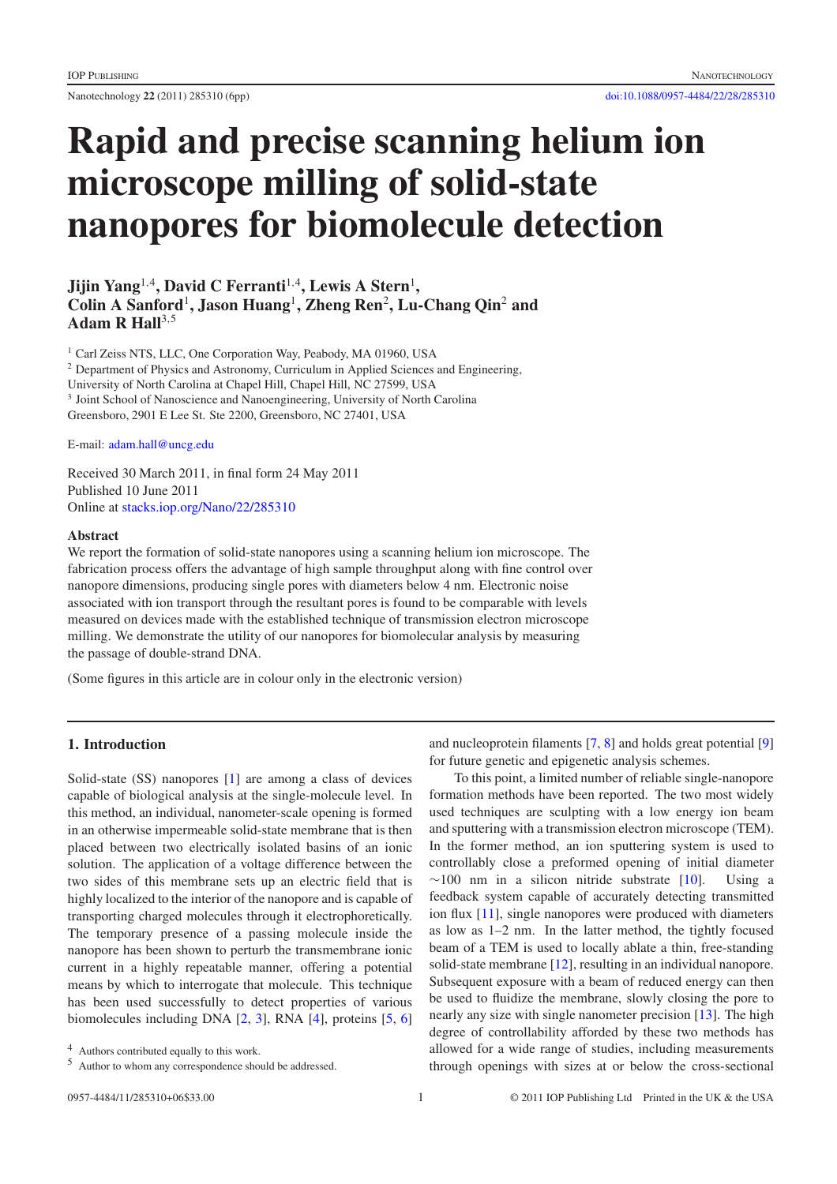Nanotechnology **22** (2011) 285310 (6pp) [doi:10.1088/0957-4484/22/28/285310](http://dx.doi.org/10.1088/0957-4484/22/28/285310)

# **Rapid and precise scanning helium ion microscope milling of solid-state nanopores for biomolecule detection**

**Jijin Yang**<sup>1</sup>,<sup>4</sup>**, David C Ferranti**<sup>1</sup>,<sup>4</sup> **, Lewis A Stern**<sup>1</sup> **, Colin A Sanford**<sup>1</sup> **, Jason Huang**<sup>1</sup>**, Zheng Ren**<sup>2</sup> **, Lu-Chang Qin**<sup>2</sup> **and** Adam R Hall<sup>3,5</sup>

<sup>1</sup> Carl Zeiss NTS, LLC, One Corporation Way, Peabody, MA 01960, USA

<sup>2</sup> Department of Physics and Astronomy, Curriculum in Applied Sciences and Engineering,

University of North Carolina at Chapel Hill, Chapel Hill, NC 27599, USA

<sup>3</sup> Joint School of Nanoscience and Nanoengineering, University of North Carolina

Greensboro, 2901 E Lee St. Ste 2200, Greensboro, NC 27401, USA

E-mail: [adam.hall@uncg.edu](mailto:adam.hall@uncg.edu)

Received 30 March 2011, in final form 24 May 2011 Published 10 June 2011 Online at [stacks.iop.org/Nano/22/285310](http://stacks.iop.org/Nano/22/285310)

#### **Abstract**

We report the formation of solid-state nanopores using a scanning helium ion microscope. The fabrication process offers the advantage of high sample throughput along with fine control over nanopore dimensions, producing single pores with diameters below 4 nm. Electronic noise associated with ion transport through the resultant pores is found to be comparable with levels measured on devices made with the established technique of transmission electron microscope milling. We demonstrate the utility of our nanopores for biomolecular analysis by measuring the passage of double-strand DNA.

(Some figures in this article are in colour only in the electronic version)

## **1. Introduction**

Solid-state (SS) nanopores [\[1\]](#page-5-0) are among a class of devices capable of biological analysis at the single-molecule level. In this method, an individual, nanometer-scale opening is formed in an otherwise impermeable solid-state membrane that is then placed between two electrically isolated basins of an ionic solution. The application of a voltage difference between the two sides of this membrane sets up an electric field that is highly localized to the interior of the nanopore and is capable of transporting charged molecules through it electrophoretically. The temporary presence of a passing molecule inside the nanopore has been shown to perturb the transmembrane ionic current in a highly repeatable manner, offering a potential means by which to interrogate that molecule. This technique has been used successfully to detect properties of various biomolecules including DNA [\[2,](#page-5-1) [3\]](#page-5-2), RNA [\[4\]](#page-5-3), proteins [\[5,](#page-5-4) [6\]](#page-5-5)

<sup>5</sup> Author to whom any correspondence should be addressed.

and nucleoprotein filaments [\[7,](#page-5-6) [8\]](#page-5-7) and holds great potential [\[9\]](#page-5-8) for future genetic and epigenetic analysis schemes.

To this point, a limited number of reliable single-nanopore formation methods have been reported. The two most widely used techniques are sculpting with a low energy ion beam and sputtering with a transmission electron microscope (TEM). In the former method, an ion sputtering system is used to controllably close a preformed opening of initial diameter  $∼100$  nm in a silicon nitride substrate [\[10\]](#page-5-9). Using a feedback system capable of accurately detecting transmitted ion flux [\[11\]](#page-5-10), single nanopores were produced with diameters as low as 1–2 nm. In the latter method, the tightly focused beam of a TEM is used to locally ablate a thin, free-standing solid-state membrane [\[12\]](#page-5-11), resulting in an individual nanopore. Subsequent exposure with a beam of reduced energy can then be used to fluidize the membrane, slowly closing the pore to nearly any size with single nanometer precision [\[13\]](#page-5-12). The high degree of controllability afforded by these two methods has allowed for a wide range of studies, including measurements through openings with sizes at or below the cross-sectional

<sup>4</sup> Authors contributed equally to this work.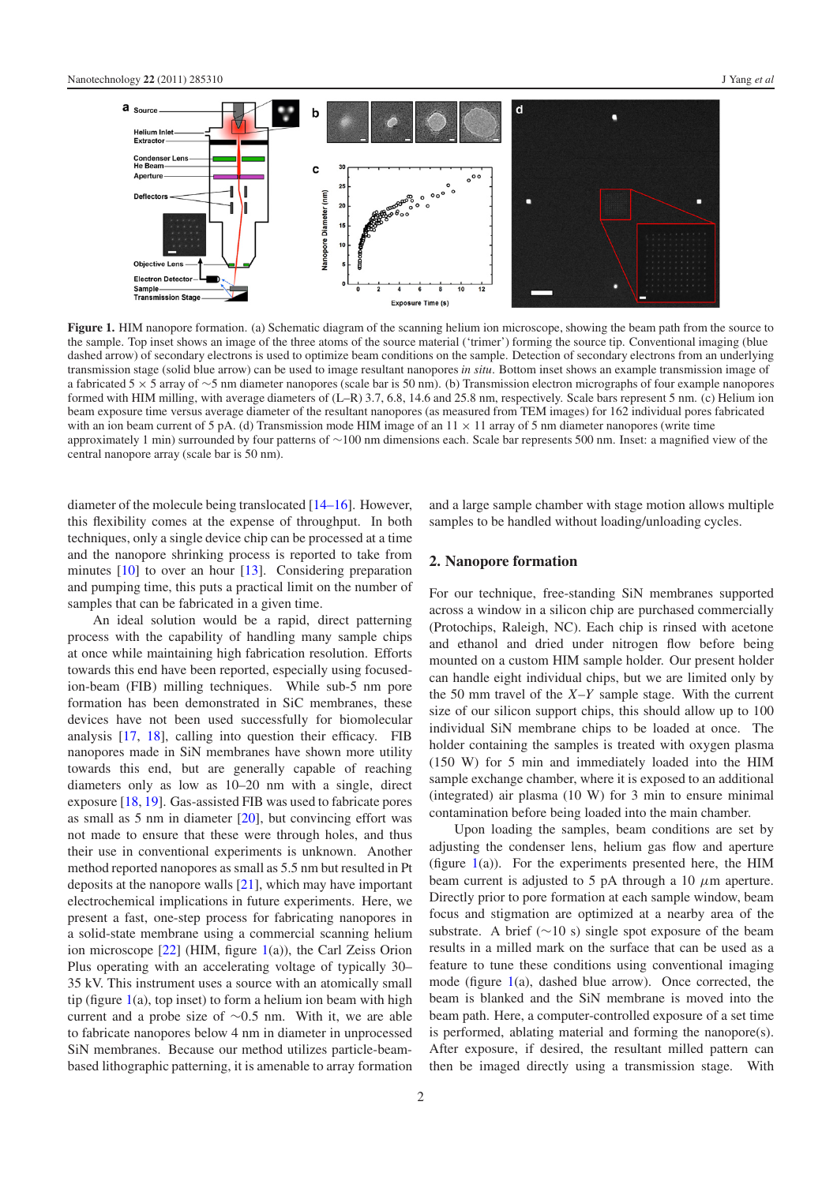<span id="page-1-0"></span>

**Figure 1.** HIM nanopore formation. (a) Schematic diagram of the scanning helium ion microscope, showing the beam path from the source to the sample. Top inset shows an image of the three atoms of the source material ('trimer') forming the source tip. Conventional imaging (blue dashed arrow) of secondary electrons is used to optimize beam conditions on the sample. Detection of secondary electrons from an underlying transmission stage (solid blue arrow) can be used to image resultant nanopores *in situ*. Bottom inset shows an example transmission image of a fabricated 5 × 5 array of ∼5 nm diameter nanopores (scale bar is 50 nm). (b) Transmission electron micrographs of four example nanopores formed with HIM milling, with average diameters of (L–R) 3.7, 6.8, 14.6 and 25.8 nm, respectively. Scale bars represent 5 nm. (c) Helium ion beam exposure time versus average diameter of the resultant nanopores (as measured from TEM images) for 162 individual pores fabricated with an ion beam current of 5 pA. (d) Transmission mode HIM image of an  $11 \times 11$  array of 5 nm diameter nanopores (write time approximately 1 min) surrounded by four patterns of ∼100 nm dimensions each. Scale bar represents 500 nm. Inset: a magnified view of the central nanopore array (scale bar is 50 nm).

diameter of the molecule being translocated [\[14–16\]](#page-5-13). However, this flexibility comes at the expense of throughput. In both techniques, only a single device chip can be processed at a time and the nanopore shrinking process is reported to take from minutes [\[10\]](#page-5-9) to over an hour [\[13\]](#page-5-12). Considering preparation and pumping time, this puts a practical limit on the number of samples that can be fabricated in a given time.

An ideal solution would be a rapid, direct patterning process with the capability of handling many sample chips at once while maintaining high fabrication resolution. Efforts towards this end have been reported, especially using focusedion-beam (FIB) milling techniques. While sub-5 nm pore formation has been demonstrated in SiC membranes, these devices have not been used successfully for biomolecular analysis [\[17,](#page-5-14) [18\]](#page-5-15), calling into question their efficacy. FIB nanopores made in SiN membranes have shown more utility towards this end, but are generally capable of reaching diameters only as low as 10–20 nm with a single, direct exposure [\[18,](#page-5-15) [19\]](#page-5-16). Gas-assisted FIB was used to fabricate pores as small as 5 nm in diameter [\[20\]](#page-5-17), but convincing effort was not made to ensure that these were through holes, and thus their use in conventional experiments is unknown. Another method reported nanopores as small as 5.5 nm but resulted in Pt deposits at the nanopore walls [\[21\]](#page-5-18), which may have important electrochemical implications in future experiments. Here, we present a fast, one-step process for fabricating nanopores in a solid-state membrane using a commercial scanning helium ion microscope  $[22]$  (HIM, figure  $1(a)$  $1(a)$ ), the Carl Zeiss Orion Plus operating with an accelerating voltage of typically 30– 35 kV. This instrument uses a source with an atomically small tip (figure  $1(a)$  $1(a)$ , top inset) to form a helium ion beam with high current and a probe size of ∼0.5 nm. With it, we are able to fabricate nanopores below 4 nm in diameter in unprocessed SiN membranes. Because our method utilizes particle-beambased lithographic patterning, it is amenable to array formation and a large sample chamber with stage motion allows multiple samples to be handled without loading/unloading cycles.

#### **2. Nanopore formation**

For our technique, free-standing SiN membranes supported across a window in a silicon chip are purchased commercially (Protochips, Raleigh, NC). Each chip is rinsed with acetone and ethanol and dried under nitrogen flow before being mounted on a custom HIM sample holder. Our present holder can handle eight individual chips, but we are limited only by the 50 mm travel of the *X*–*Y* sample stage. With the current size of our silicon support chips, this should allow up to 100 individual SiN membrane chips to be loaded at once. The holder containing the samples is treated with oxygen plasma (150 W) for 5 min and immediately loaded into the HIM sample exchange chamber, where it is exposed to an additional (integrated) air plasma (10 W) for 3 min to ensure minimal contamination before being loaded into the main chamber.

Upon loading the samples, beam conditions are set by adjusting the condenser lens, helium gas flow and aperture (figure  $1(a)$  $1(a)$ ). For the experiments presented here, the HIM beam current is adjusted to 5 pA through a 10  $\mu$ m aperture. Directly prior to pore formation at each sample window, beam focus and stigmation are optimized at a nearby area of the substrate. A brief ( $\sim$ 10 s) single spot exposure of the beam results in a milled mark on the surface that can be used as a feature to tune these conditions using conventional imaging mode (figure [1\(](#page-1-0)a), dashed blue arrow). Once corrected, the beam is blanked and the SiN membrane is moved into the beam path. Here, a computer-controlled exposure of a set time is performed, ablating material and forming the nanopore(s). After exposure, if desired, the resultant milled pattern can then be imaged directly using a transmission stage. With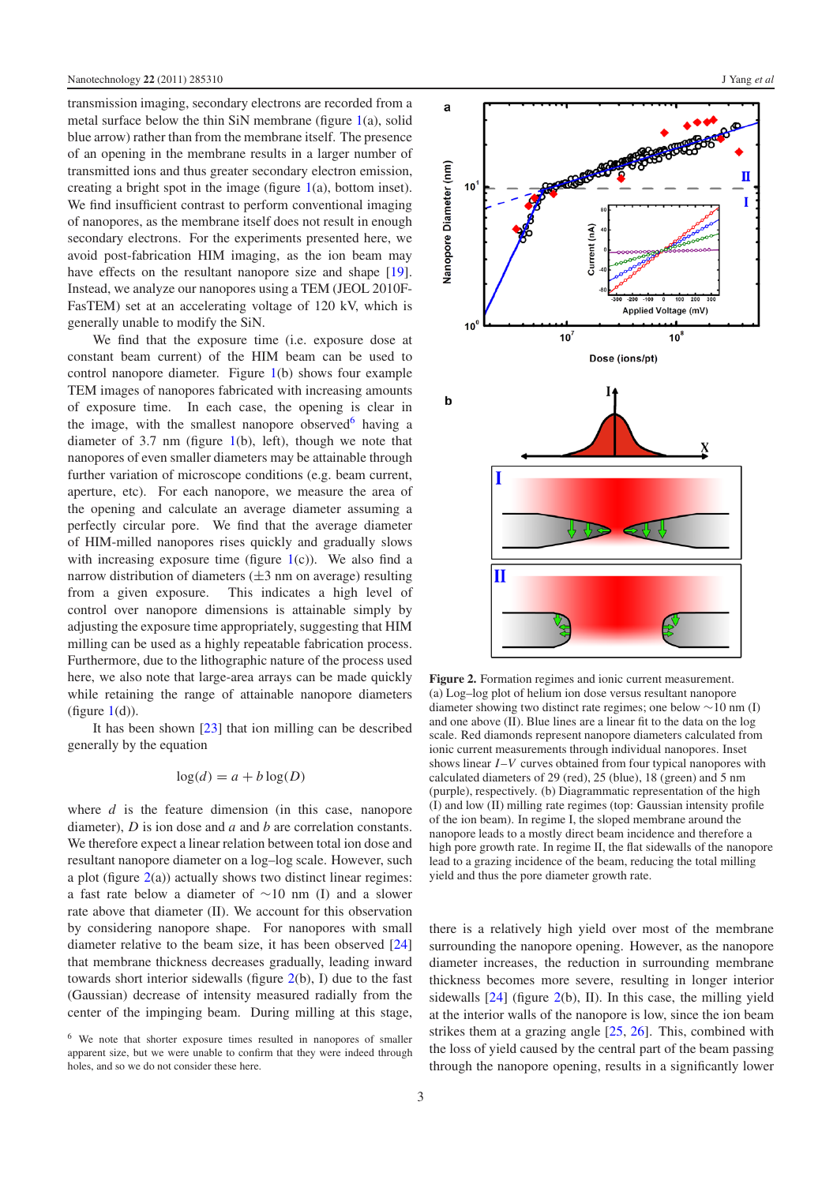transmission imaging, secondary electrons are recorded from a metal surface below the thin SiN membrane (figure  $1(a)$  $1(a)$ , solid blue arrow) rather than from the membrane itself. The presence of an opening in the membrane results in a larger number of transmitted ions and thus greater secondary electron emission, creating a bright spot in the image (figure  $1(a)$  $1(a)$ , bottom inset). We find insufficient contrast to perform conventional imaging of nanopores, as the membrane itself does not result in enough secondary electrons. For the experiments presented here, we avoid post-fabrication HIM imaging, as the ion beam may have effects on the resultant nanopore size and shape [\[19\]](#page-5-16). Instead, we analyze our nanopores using a TEM (JEOL 2010F-FasTEM) set at an accelerating voltage of 120 kV, which is generally unable to modify the SiN.

We find that the exposure time (i.e. exposure dose at constant beam current) of the HIM beam can be used to control nanopore diameter. Figure [1\(](#page-1-0)b) shows four example TEM images of nanopores fabricated with increasing amounts of exposure time. In each case, the opening is clear in the image, with the smallest nanopore observed having a diameter of 3.7 nm (figure [1\(](#page-1-0)b), left), though we note that nanopores of even smaller diameters may be attainable through further variation of microscope conditions (e.g. beam current, aperture, etc). For each nanopore, we measure the area of the opening and calculate an average diameter assuming a perfectly circular pore. We find that the average diameter of HIM-milled nanopores rises quickly and gradually slows with increasing exposure time (figure  $1(c)$  $1(c)$ ). We also find a narrow distribution of diameters  $(\pm 3 \text{ nm on average})$  resulting<br>from a given exposure. This indicates a high level of This indicates a high level of control over nanopore dimensions is attainable simply by adjusting the exposure time appropriately, suggesting that HIM milling can be used as a highly repeatable fabrication process. Furthermore, due to the lithographic nature of the process used here, we also note that large-area arrays can be made quickly while retaining the range of attainable nanopore diameters (figure  $1(d)$  $1(d)$ ).

It has been shown [\[23\]](#page-5-20) that ion milling can be described generally by the equation

$$
\log(d) = a + b \log(D)
$$

where *d* is the feature dimension (in this case, nanopore diameter), *D* is ion dose and *a* and *b* are correlation constants. We therefore expect a linear relation between total ion dose and resultant nanopore diameter on a log–log scale. However, such a plot (figure  $2(a)$  $2(a)$ ) actually shows two distinct linear regimes: a fast rate below a diameter of ∼10 nm (I) and a slower rate above that diameter (II). We account for this observation by considering nanopore shape. For nanopores with small diameter relative to the beam size, it has been observed [\[24\]](#page-5-21) that membrane thickness decreases gradually, leading inward towards short interior sidewalls (figure  $2(b)$  $2(b)$ , I) due to the fast (Gaussian) decrease of intensity measured radially from the center of the impinging beam. During milling at this stage,

<span id="page-2-1"></span>

**Figure 2.** Formation regimes and ionic current measurement. (a) Log–log plot of helium ion dose versus resultant nanopore diameter showing two distinct rate regimes; one below ∼10 nm (I) and one above (II). Blue lines are a linear fit to the data on the log scale. Red diamonds represent nanopore diameters calculated from ionic current measurements through individual nanopores. Inset shows linear *I*–*V* curves obtained from four typical nanopores with calculated diameters of 29 (red), 25 (blue), 18 (green) and 5 nm (purple), respectively. (b) Diagrammatic representation of the high (I) and low (II) milling rate regimes (top: Gaussian intensity profile of the ion beam). In regime I, the sloped membrane around the nanopore leads to a mostly direct beam incidence and therefore a high pore growth rate. In regime II, the flat sidewalls of the nanopore lead to a grazing incidence of the beam, reducing the total milling yield and thus the pore diameter growth rate.

there is a relatively high yield over most of the membrane surrounding the nanopore opening. However, as the nanopore diameter increases, the reduction in surrounding membrane thickness becomes more severe, resulting in longer interior sidewalls [\[24\]](#page-5-21) (figure [2\(](#page-2-1)b), II). In this case, the milling yield at the interior walls of the nanopore is low, since the ion beam strikes them at a grazing angle [\[25,](#page-5-22) [26\]](#page-5-23). This, combined with the loss of yield caused by the central part of the beam passing through the nanopore opening, results in a significantly lower

<span id="page-2-0"></span><sup>6</sup> We note that shorter exposure times resulted in nanopores of smaller apparent size, but we were unable to confirm that they were indeed through holes, and so we do not consider these here.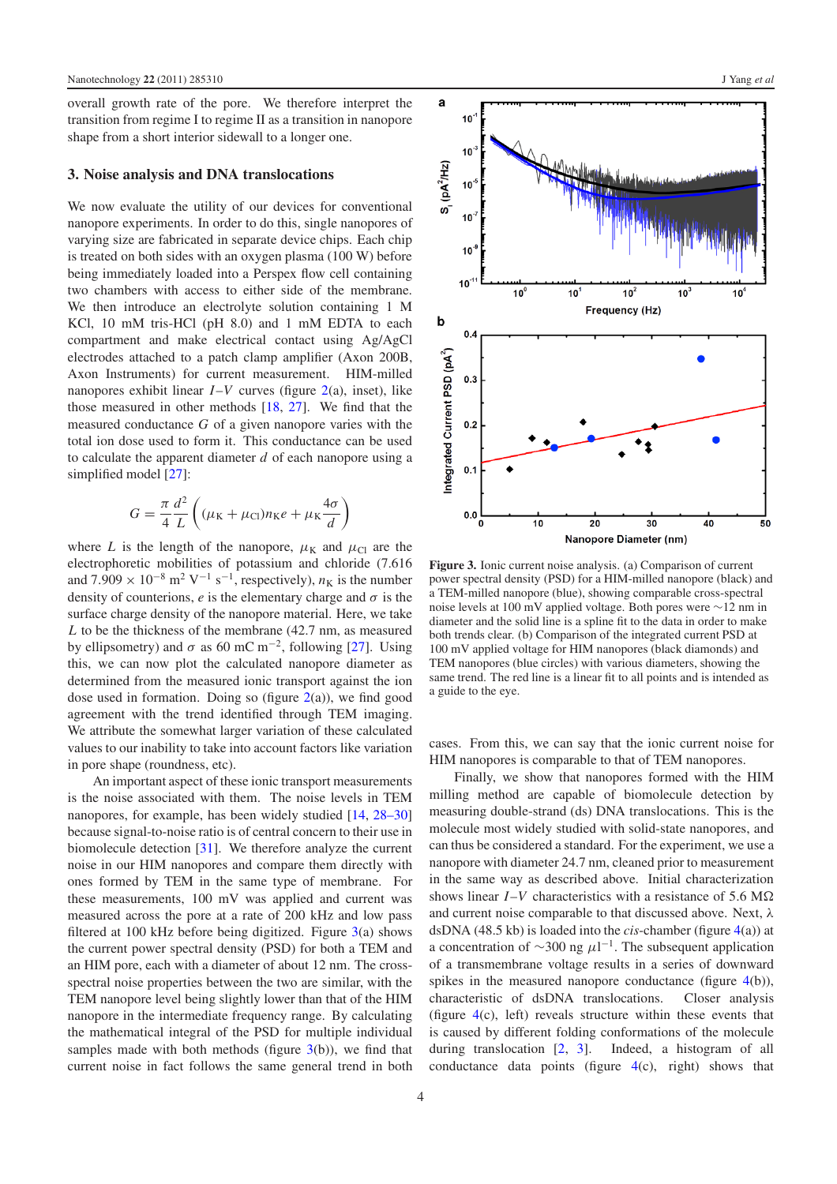overall growth rate of the pore. We therefore interpret the transition from regime I to regime II as a transition in nanopore shape from a short interior sidewall to a longer one.

## **3. Noise analysis and DNA translocations**

We now evaluate the utility of our devices for conventional nanopore experiments. In order to do this, single nanopores of varying size are fabricated in separate device chips. Each chip is treated on both sides with an oxygen plasma (100 W) before being immediately loaded into a Perspex flow cell containing two chambers with access to either side of the membrane. We then introduce an electrolyte solution containing 1 M KCl, 10 mM tris-HCl (pH 8.0) and 1 mM EDTA to each compartment and make electrical contact using Ag/AgCl electrodes attached to a patch clamp amplifier (Axon 200B, Axon Instruments) for current measurement. HIM-milled nanopores exhibit linear  $I-V$  curves (figure [2\(](#page-2-1)a), inset), like those measured in other methods [\[18,](#page-5-15) [27\]](#page-5-24). We find that the measured conductance *G* of a given nanopore varies with the total ion dose used to form it. This conductance can be used to calculate the apparent diameter *d* of each nanopore using a simplified model [\[27\]](#page-5-24):

$$
G = \frac{\pi}{4} \frac{d^2}{L} \left( (\mu_{\rm K} + \mu_{\rm Cl}) n_{\rm K} e + \mu_{\rm K} \frac{4\sigma}{d} \right)
$$

where *L* is the length of the nanopore,  $\mu_K$  and  $\mu_{Cl}$  are the electrophoretic mobilities of potassium and chloride (7.616 and  $7.909 \times 10^{-8}$  m<sup>2</sup> V<sup>-1</sup> s<sup>-1</sup>, respectively),  $n<sub>K</sub>$  is the number density of counterions,  $e$  is the elementary charge and  $\sigma$  is the surface charge density of the nanopore material. Here, we take *L* to be the thickness of the membrane (42.7 nm, as measured by ellipsometry) and  $\sigma$  as 60 mC m<sup>-2</sup>, following [\[27\]](#page-5-24). Using this, we can now plot the calculated nanopore diameter as determined from the measured ionic transport against the ion dose used in formation. Doing so (figure  $2(a)$  $2(a)$ ), we find good agreement with the trend identified through TEM imaging. We attribute the somewhat larger variation of these calculated values to our inability to take into account factors like variation in pore shape (roundness, etc).

An important aspect of these ionic transport measurements is the noise associated with them. The noise levels in TEM nanopores, for example, has been widely studied [\[14,](#page-5-13) [28–30\]](#page-5-25) because signal-to-noise ratio is of central concern to their use in biomolecule detection [\[31\]](#page-5-26). We therefore analyze the current noise in our HIM nanopores and compare them directly with ones formed by TEM in the same type of membrane. For these measurements, 100 mV was applied and current was measured across the pore at a rate of 200 kHz and low pass filtered at 100 kHz before being digitized. Figure [3\(](#page-3-0)a) shows the current power spectral density (PSD) for both a TEM and an HIM pore, each with a diameter of about 12 nm. The crossspectral noise properties between the two are similar, with the TEM nanopore level being slightly lower than that of the HIM nanopore in the intermediate frequency range. By calculating the mathematical integral of the PSD for multiple individual samples made with both methods (figure  $3(b)$  $3(b)$ ), we find that current noise in fact follows the same general trend in both

<span id="page-3-0"></span>

**Figure 3.** Ionic current noise analysis. (a) Comparison of current power spectral density (PSD) for a HIM-milled nanopore (black) and a TEM-milled nanopore (blue), showing comparable cross-spectral noise levels at 100 mV applied voltage. Both pores were ∼12 nm in diameter and the solid line is a spline fit to the data in order to make both trends clear. (b) Comparison of the integrated current PSD at 100 mV applied voltage for HIM nanopores (black diamonds) and TEM nanopores (blue circles) with various diameters, showing the same trend. The red line is a linear fit to all points and is intended as a guide to the eye.

cases. From this, we can say that the ionic current noise for HIM nanopores is comparable to that of TEM nanopores.

Finally, we show that nanopores formed with the HIM milling method are capable of biomolecule detection by measuring double-strand (ds) DNA translocations. This is the molecule most widely studied with solid-state nanopores, and can thus be considered a standard. For the experiment, we use a nanopore with diameter 24.7 nm, cleaned prior to measurement in the same way as described above. Initial characterization shows linear  $I-V$  characteristics with a resistance of 5.6 M $\Omega$ and current noise comparable to that discussed above. Next,  $\lambda$ dsDNA (48.5 kb) is loaded into the *cis*-chamber (figure [4\(](#page-4-0)a)) at a concentration of  $\sim$ 300 ng  $\mu$ 1<sup>-1</sup>. The subsequent application of a transmembrane voltage results in a series of downward spikes in the measured nanopore conductance (figure  $4(b)$  $4(b)$ ), characteristic of dsDNA translocations. Closer analysis (figure [4\(](#page-4-0)c), left) reveals structure within these events that is caused by different folding conformations of the molecule during translocation [\[2,](#page-5-1) [3\]](#page-5-2). Indeed, a histogram of all conductance data points (figure  $4(c)$  $4(c)$ , right) shows that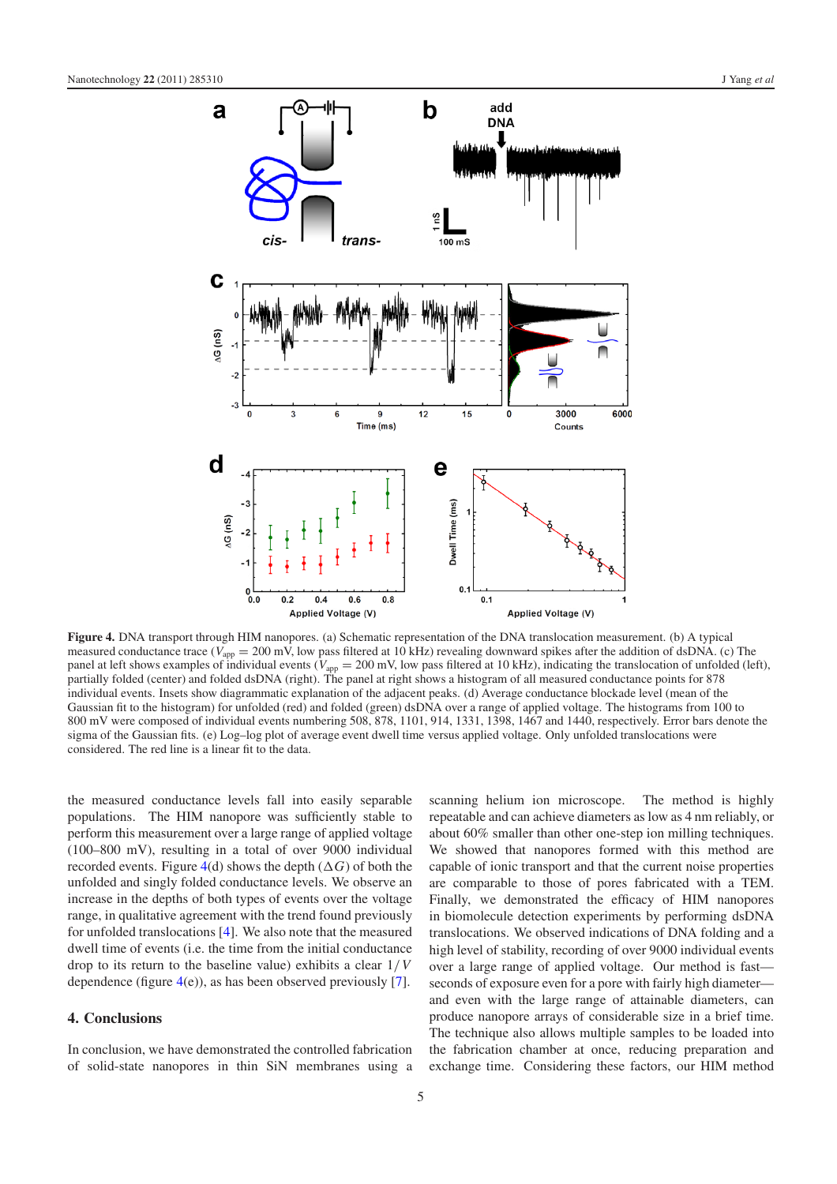<span id="page-4-0"></span>

**Figure 4.** DNA transport through HIM nanopores. (a) Schematic representation of the DNA translocation measurement. (b) A typical measured conductance trace ( $V_{app} = 200$  mV, low pass filtered at 10 kHz) revealing downward spikes after the addition of dsDNA. (c) The panel at left shows examples of individual events ( $V_{app} = 200$  mV, low pass filtered at 10 kHz), indicating the translocation of unfolded (left), partially folded (center) and folded dsDNA (right). The panel at right shows a histogram of all measured conductance points for 878 individual events. Insets show diagrammatic explanation of the adjacent peaks. (d) Average conductance blockade level (mean of the Gaussian fit to the histogram) for unfolded (red) and folded (green) dsDNA over a range of applied voltage. The histograms from 100 to 800 mV were composed of individual events numbering 508, 878, 1101, 914, 1331, 1398, 1467 and 1440, respectively. Error bars denote the sigma of the Gaussian fits. (e) Log–log plot of average event dwell time versus applied voltage. Only unfolded translocations were considered. The red line is a linear fit to the data.

the measured conductance levels fall into easily separable populations. The HIM nanopore was sufficiently stable to perform this measurement over a large range of applied voltage (100–800 mV), resulting in a total of over 9000 individual recorded events. Figure  $4(d)$  $4(d)$  shows the depth  $(\Delta G)$  of both the unfolded and singly folded conductance levels. We observe an increase in the depths of both types of events over the voltage range, in qualitative agreement with the trend found previously for unfolded translocations [\[4\]](#page-5-3). We also note that the measured dwell time of events (i.e. the time from the initial conductance drop to its return to the baseline value) exhibits a clear 1/*V* dependence (figure  $4(e)$  $4(e)$ ), as has been observed previously [\[7\]](#page-5-6).

### **4. Conclusions**

In conclusion, we have demonstrated the controlled fabrication of solid-state nanopores in thin SiN membranes using a scanning helium ion microscope. The method is highly repeatable and can achieve diameters as low as 4 nm reliably, or about 60% smaller than other one-step ion milling techniques. We showed that nanopores formed with this method are capable of ionic transport and that the current noise properties are comparable to those of pores fabricated with a TEM. Finally, we demonstrated the efficacy of HIM nanopores in biomolecule detection experiments by performing dsDNA translocations. We observed indications of DNA folding and a high level of stability, recording of over 9000 individual events over a large range of applied voltage. Our method is fast seconds of exposure even for a pore with fairly high diameter and even with the large range of attainable diameters, can produce nanopore arrays of considerable size in a brief time. The technique also allows multiple samples to be loaded into the fabrication chamber at once, reducing preparation and exchange time. Considering these factors, our HIM method